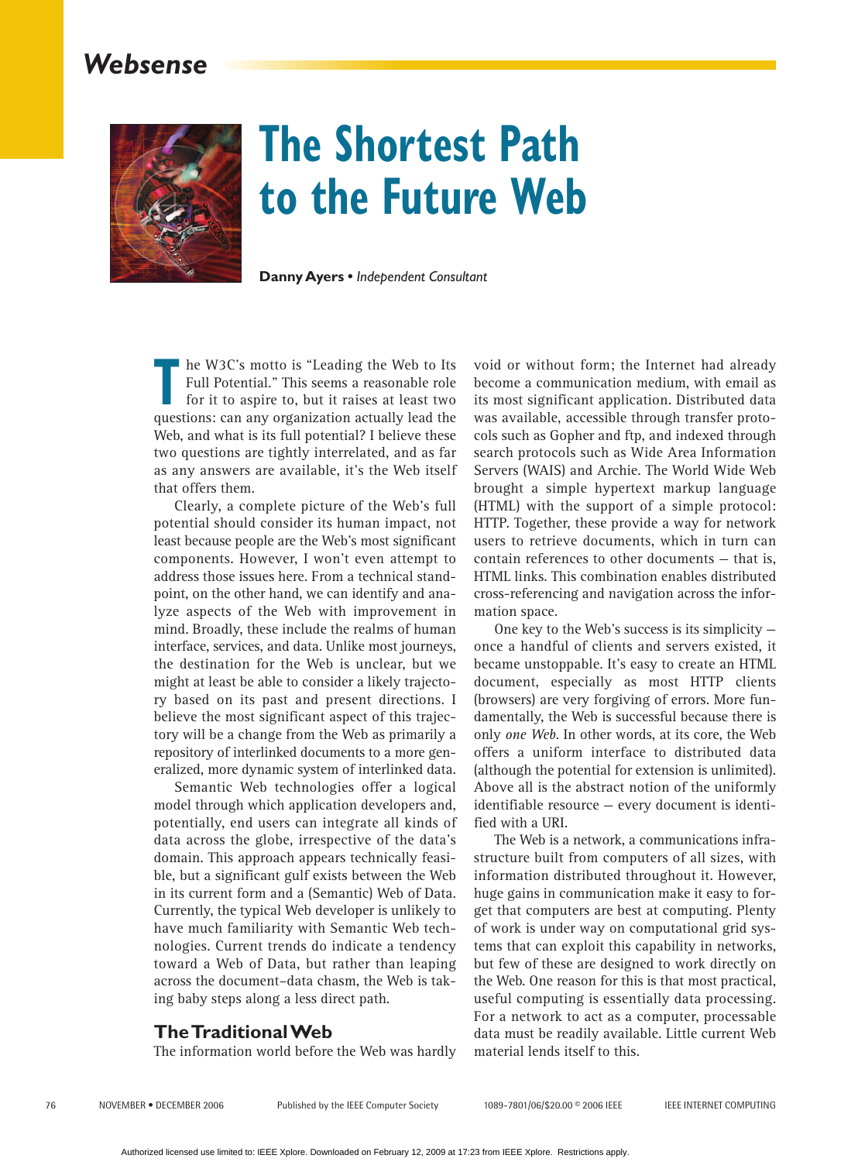### *Websense*



# **The Shortest Path to the Future Web**

**Danny Ayers •** *Independent Consultant*

**THE MAC's motto is "Leading the Web to Its<br>
Full Potential." This seems a reasonable role<br>
for it to aspire to, but it raises at least two<br>
<u>musticides</u> can any organization actually lood the** Full Potential." This seems a reasonable role for it to aspire to, but it raises at least two questions: can any organization actually lead the Web, and what is its full potential? I believe these two questions are tightly interrelated, and as far as any answers are available, it's the Web itself that offers them.

Clearly, a complete picture of the Web's full potential should consider its human impact, not least because people are the Web's most significant components. However, I won't even attempt to address those issues here. From a technical standpoint, on the other hand, we can identify and analyze aspects of the Web with improvement in mind. Broadly, these include the realms of human interface, services, and data. Unlike most journeys, the destination for the Web is unclear, but we might at least be able to consider a likely trajectory based on its past and present directions. I believe the most significant aspect of this trajectory will be a change from the Web as primarily a repository of interlinked documents to a more generalized, more dynamic system of interlinked data.

Semantic Web technologies offer a logical model through which application developers and, potentially, end users can integrate all kinds of data across the globe, irrespective of the data's domain. This approach appears technically feasible, but a significant gulf exists between the Web in its current form and a (Semantic) Web of Data. Currently, the typical Web developer is unlikely to have much familiarity with Semantic Web technologies. Current trends do indicate a tendency toward a Web of Data, but rather than leaping across the document–data chasm, the Web is taking baby steps along a less direct path.

#### **The Traditional Web**

The information world before the Web was hardly

void or without form; the Internet had already become a communication medium, with email as its most significant application. Distributed data was available, accessible through transfer protocols such as Gopher and ftp, and indexed through search protocols such as Wide Area Information Servers (WAIS) and Archie. The World Wide Web brought a simple hypertext markup language (HTML) with the support of a simple protocol: HTTP. Together, these provide a way for network users to retrieve documents, which in turn can contain references to other documents — that is, HTML links. This combination enables distributed cross-referencing and navigation across the information space.

One key to the Web's success is its simplicity once a handful of clients and servers existed, it became unstoppable. It's easy to create an HTML document, especially as most HTTP clients (browsers) are very forgiving of errors. More fundamentally, the Web is successful because there is only *one Web*. In other words, at its core, the Web offers a uniform interface to distributed data (although the potential for extension is unlimited). Above all is the abstract notion of the uniformly identifiable resource — every document is identified with a URI.

The Web is a network, a communications infrastructure built from computers of all sizes, with information distributed throughout it. However, huge gains in communication make it easy to forget that computers are best at computing. Plenty of work is under way on computational grid systems that can exploit this capability in networks, but few of these are designed to work directly on the Web. One reason for this is that most practical, useful computing is essentially data processing. For a network to act as a computer, processable data must be readily available. Little current Web material lends itself to this.

76 NOVEMBER • DECEMBER 2006 Published by the IEEE Computer Society 1089-7801/06/\$20.00 © 2006 IEEE INTERNET COMPUTING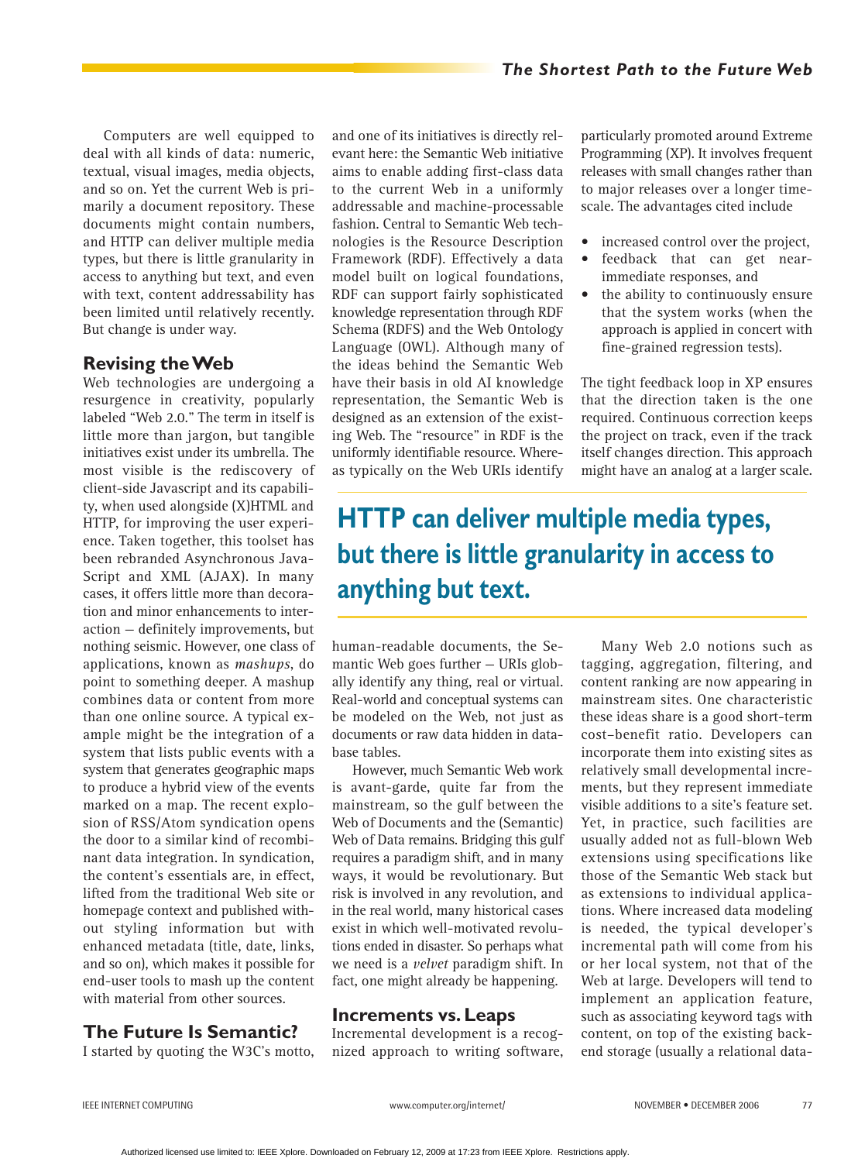Computers are well equipped to deal with all kinds of data: numeric, textual, visual images, media objects, and so on. Yet the current Web is primarily a document repository. These documents might contain numbers, and HTTP can deliver multiple media types, but there is little granularity in access to anything but text, and even with text, content addressability has been limited until relatively recently. But change is under way.

#### **Revising the Web**

Web technologies are undergoing a resurgence in creativity, popularly labeled "Web 2.0." The term in itself is little more than jargon, but tangible initiatives exist under its umbrella. The most visible is the rediscovery of client-side Javascript and its capability, when used alongside (X)HTML and HTTP, for improving the user experience. Taken together, this toolset has been rebranded Asynchronous Java-Script and XML (AJAX). In many cases, it offers little more than decoration and minor enhancements to interaction — definitely improvements, but nothing seismic. However, one class of applications, known as *mashups*, do point to something deeper. A mashup combines data or content from more than one online source. A typical example might be the integration of a system that lists public events with a system that generates geographic maps to produce a hybrid view of the events marked on a map. The recent explosion of RSS/Atom syndication opens the door to a similar kind of recombinant data integration. In syndication, the content's essentials are, in effect, lifted from the traditional Web site or homepage context and published without styling information but with enhanced metadata (title, date, links, and so on), which makes it possible for end-user tools to mash up the content with material from other sources.

#### **The Future Is Semantic?**

I started by quoting the W3C's motto,

and one of its initiatives is directly relevant here: the Semantic Web initiative aims to enable adding first-class data to the current Web in a uniformly addressable and machine-processable fashion. Central to Semantic Web technologies is the Resource Description Framework (RDF). Effectively a data model built on logical foundations, RDF can support fairly sophisticated knowledge representation through RDF Schema (RDFS) and the Web Ontology Language (OWL). Although many of the ideas behind the Semantic Web have their basis in old AI knowledge representation, the Semantic Web is designed as an extension of the existing Web. The "resource" in RDF is the uniformly identifiable resource. Whereas typically on the Web URIs identify

particularly promoted around Extreme Programming (XP). It involves frequent releases with small changes rather than to major releases over a longer timescale. The advantages cited include

- increased control over the project,
- feedback that can get nearimmediate responses, and
- the ability to continuously ensure that the system works (when the approach is applied in concert with fine-grained regression tests).

The tight feedback loop in XP ensures that the direction taken is the one required. Continuous correction keeps the project on track, even if the track itself changes direction. This approach might have an analog at a larger scale.

## **HTTP can deliver multiple media types, but there is little granularity in access to anything but text.**

human-readable documents, the Semantic Web goes further — URIs globally identify any thing, real or virtual. Real-world and conceptual systems can be modeled on the Web, not just as documents or raw data hidden in database tables.

However, much Semantic Web work is avant-garde, quite far from the mainstream, so the gulf between the Web of Documents and the (Semantic) Web of Data remains. Bridging this gulf requires a paradigm shift, and in many ways, it would be revolutionary. But risk is involved in any revolution, and in the real world, many historical cases exist in which well-motivated revolutions ended in disaster. So perhaps what we need is a *velvet* paradigm shift. In fact, one might already be happening.

#### **Increments vs. Leaps**

Incremental development is a recognized approach to writing software,

Many Web 2.0 notions such as tagging, aggregation, filtering, and content ranking are now appearing in mainstream sites. One characteristic these ideas share is a good short-term cost–benefit ratio. Developers can incorporate them into existing sites as relatively small developmental increments, but they represent immediate visible additions to a site's feature set. Yet, in practice, such facilities are usually added not as full-blown Web extensions using specifications like those of the Semantic Web stack but as extensions to individual applications. Where increased data modeling is needed, the typical developer's incremental path will come from his or her local system, not that of the Web at large. Developers will tend to implement an application feature, such as associating keyword tags with content, on top of the existing backend storage (usually a relational data-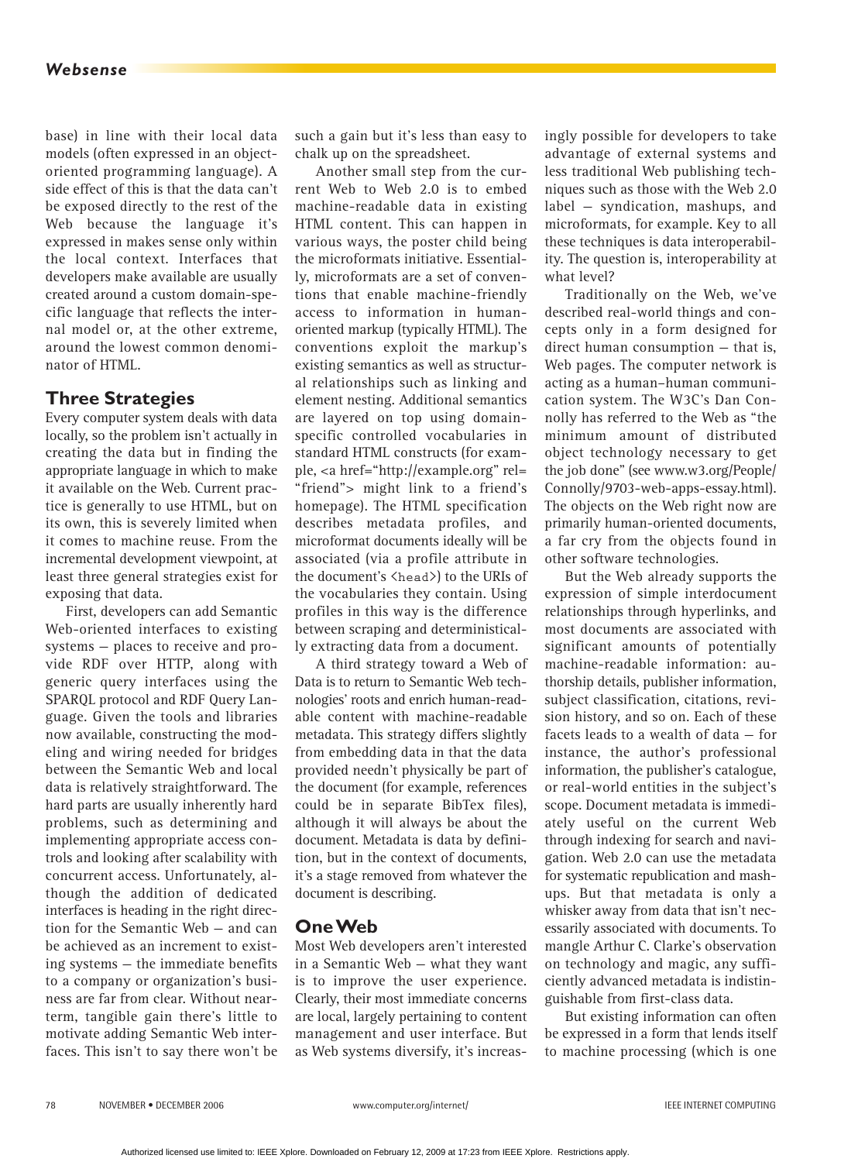#### *Websense*

base) in line with their local data models (often expressed in an objectoriented programming language). A side effect of this is that the data can't be exposed directly to the rest of the Web because the language it's expressed in makes sense only within the local context. Interfaces that developers make available are usually created around a custom domain-specific language that reflects the internal model or, at the other extreme, around the lowest common denominator of HTML.

#### **Three Strategies**

Every computer system deals with data locally, so the problem isn't actually in creating the data but in finding the appropriate language in which to make it available on the Web. Current practice is generally to use HTML, but on its own, this is severely limited when it comes to machine reuse. From the incremental development viewpoint, at least three general strategies exist for exposing that data.

First, developers can add Semantic Web-oriented interfaces to existing systems — places to receive and provide RDF over HTTP, along with generic query interfaces using the SPARQL protocol and RDF Query Language. Given the tools and libraries now available, constructing the modeling and wiring needed for bridges between the Semantic Web and local data is relatively straightforward. The hard parts are usually inherently hard problems, such as determining and implementing appropriate access controls and looking after scalability with concurrent access. Unfortunately, although the addition of dedicated interfaces is heading in the right direction for the Semantic Web — and can be achieved as an increment to existing systems — the immediate benefits to a company or organization's business are far from clear. Without nearterm, tangible gain there's little to motivate adding Semantic Web interfaces. This isn't to say there won't be

such a gain but it's less than easy to chalk up on the spreadsheet.

Another small step from the current Web to Web 2.0 is to embed machine-readable data in existing HTML content. This can happen in various ways, the poster child being the microformats initiative. Essentially, microformats are a set of conventions that enable machine-friendly access to information in humanoriented markup (typically HTML). The conventions exploit the markup's existing semantics as well as structural relationships such as linking and element nesting. Additional semantics are layered on top using domainspecific controlled vocabularies in standard HTML constructs (for example, <a href="http://example.org" rel= "friend"> might link to a friend's homepage). The HTML specification describes metadata profiles, and microformat documents ideally will be associated (via a profile attribute in the document's  $\langle head \rangle$  to the URIs of the vocabularies they contain. Using profiles in this way is the difference between scraping and deterministically extracting data from a document.

A third strategy toward a Web of Data is to return to Semantic Web technologies' roots and enrich human-readable content with machine-readable metadata. This strategy differs slightly from embedding data in that the data provided needn't physically be part of the document (for example, references could be in separate BibTex files), although it will always be about the document. Metadata is data by definition, but in the context of documents, it's a stage removed from whatever the document is describing.

#### **One Web**

Most Web developers aren't interested in a Semantic Web — what they want is to improve the user experience. Clearly, their most immediate concerns are local, largely pertaining to content management and user interface. But as Web systems diversify, it's increasingly possible for developers to take advantage of external systems and less traditional Web publishing techniques such as those with the Web 2.0 label — syndication, mashups, and microformats, for example. Key to all these techniques is data interoperability. The question is, interoperability at what level?

Traditionally on the Web, we've described real-world things and concepts only in a form designed for direct human consumption — that is, Web pages. The computer network is acting as a human–human communication system. The W3C's Dan Connolly has referred to the Web as "the minimum amount of distributed object technology necessary to get the job done" (see www.w3.org/People/ Connolly/9703-web-apps-essay.html). The objects on the Web right now are primarily human-oriented documents, a far cry from the objects found in other software technologies.

But the Web already supports the expression of simple interdocument relationships through hyperlinks, and most documents are associated with significant amounts of potentially machine-readable information: authorship details, publisher information, subject classification, citations, revision history, and so on. Each of these facets leads to a wealth of data — for instance, the author's professional information, the publisher's catalogue, or real-world entities in the subject's scope. Document metadata is immediately useful on the current Web through indexing for search and navigation. Web 2.0 can use the metadata for systematic republication and mashups. But that metadata is only a whisker away from data that isn't necessarily associated with documents. To mangle Arthur C. Clarke's observation on technology and magic, any sufficiently advanced metadata is indistinguishable from first-class data.

But existing information can often be expressed in a form that lends itself to machine processing (which is one